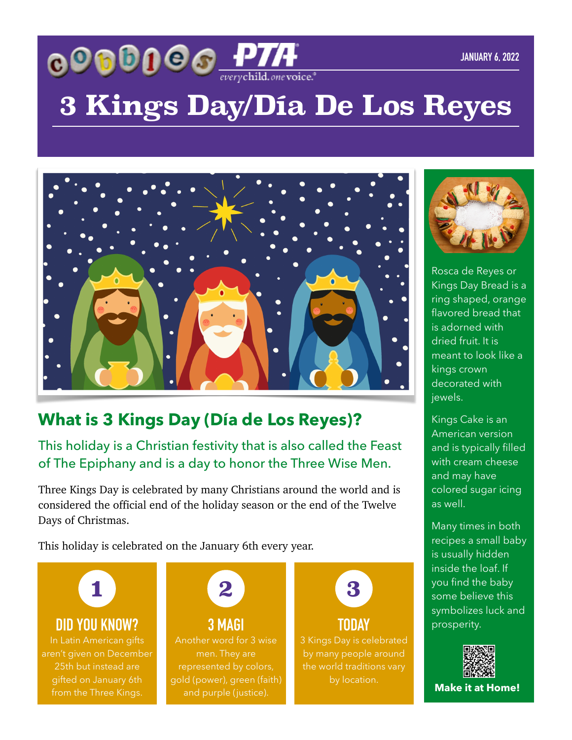

# **3 Kings Day/Día De Los Reyes**



### **What is 3 Kings Day (Día de Los Reyes)?**

#### This holiday is a Christian festivity that is also called the Feast of The Epiphany and is a day to honor the Three Wise Men.

Three Kings Day is celebrated by many Christians around the world and is considered the official end of the holiday season or the end of the Twelve Days of Christmas.

This holiday is celebrated on the January 6th every year.

**1**

#### **DID YOU KNOW? 3 MAGI 2009 100 2009 100 2009 100 2009 100 2009 100 2009 100 2009 100 2009 100 2009 100 2009 100 2009 100 2009 100 2009 100 2009 100 2009 100 2009 100 2009 100 2009 100 2009 100 2009 100 2009 100 2009 100**

aren't given on December 25th but instead are gifted on January 6th from the Three Kings.



**3 MAGI** Another word for 3 wise men. They are gold (power), green (faith)



#### **TODAY**

3 Kings Day is celebrated by many people around the world traditions vary



Rosca de Reyes or Kings Day Bread is a ring shaped, orange flavored bread that is adorned with dried fruit. It is meant to look like a kings crown decorated with jewels.

Kings Cake is an American version and is typically filled with cream cheese and may have colored sugar icing as well.

Many times in both recipes a small baby is usually hidden inside the loaf. If you find the baby some believe this symbolizes luck and



**Make it at Home!**